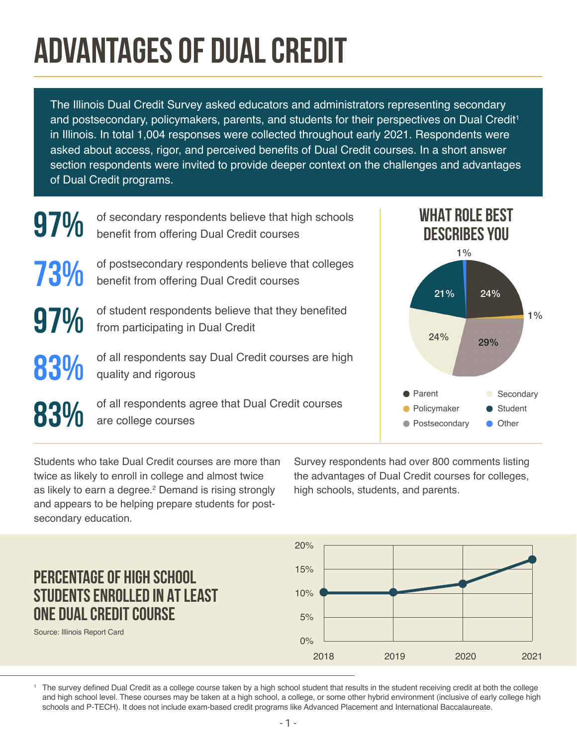## **ADVANTAGES OF DUAL CREDIT**

The Illinois Dual Credit Survey asked educators and administrators representing secondary and postsecondary, policymakers, parents, and students for their perspectives on Dual Credit<sup>1</sup> in Illinois. In total 1,004 responses were collected throughout early 2021. Respondents were asked about access, rigor, and perceived benefits of Dual Credit courses. In a short answer section respondents were invited to provide deeper context on the challenges and advantages of Dual Credit programs.



Students who take Dual Credit courses are more than twice as likely to enroll in college and almost twice as likely to earn a degree.<sup>2</sup> Demand is rising strongly and appears to be helping prepare students for postsecondary education.

Survey respondents had over 800 comments listing the advantages of Dual Credit courses for colleges, high schools, students, and parents.



Source: Illinois Report Card

**PERCENTAGE OF HIGH SCHOOL** 

**ONE DUAL CREDIT COURSE**

**STUDENTS ENROLLED IN AT LEAST** 

<sup>1</sup> The survey defined Dual Credit as a college course taken by a high school student that results in the student receiving credit at both the college and high school level. These courses may be taken at a high school, a college, or some other hybrid environment (inclusive of early college high schools and P-TECH). It does not include exam-based credit programs like Advanced Placement and International Baccalaureate.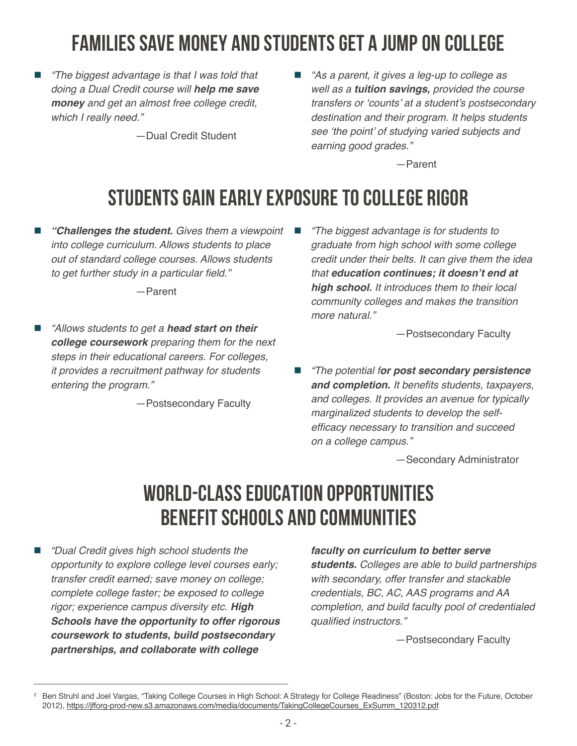## **FAMILIES SAVE MONEY AND STUDENTS GET A JUMP ON COLLEGE**

 *"The biggest advantage is that I was told that doing a Dual Credit course will* **help me save money** *and get an almost free college credit, which I really need."* 

—Dual Credit Student

 *"As a parent, it gives a leg-up to college as well as a* **tuition savings,** *provided the course*  transfers or 'counts' at a student's postsecondary *destination and their program. It helps students*  see 'the point' of studying varied subjects and *earning good grades."* 

—Parent

## **STUDENTS GAIN EARLY EXPOSURE TO COLLEGE RIGOR**

 **"Challenges the student.** *Gives them a viewpoint into college curriculum. Allows students to place out of standard college courses. Allows students*  to get further study in a particular field."

—Parent

 *"Allows students to get a* **head start on their college coursework** *preparing them for the next steps in their educational careers. For colleges, it provides a recruitment pathway for students entering the program."* 

 $-$  Postsecondary Faculty

 *"The biggest advantage is for students to graduate from high school with some college credit under their belts. It can give them the idea that* **education continues; it doesn't end at high school.** *It introduces them to their local community colleges and makes the transition more natural."* 

 $-$  Postsecondary Faculty

 *"The potential f***or post secondary persistence and completion.** It benefits students, taxpayers, *and colleges. It provides an avenue for typically marginalized students to develop the self*efficacy necessary to transition and succeed *on a college campus."* 

—Secondary Administrator

## **WORLD-CLASS EDUCATION OPPORTUNITIES BENEFIT SCHOOLS AND COMMUNITIES**

 *"Dual Credit gives high school students the opportunity to explore college level courses early; transfer credit earned; save money on college; complete college faster; be exposed to college rigor; experience campus diversity etc.* **High Schools have the opportunity to offer rigorous coursework to students, build postsecondary partnerships, and collaborate with college** 

**faculty on curriculum to better serve** 

**students.** *Colleges are able to build partnerships with secondary, offer transfer and stackable credentials, BC, AC, AAS programs and AA completion, and build faculty pool of credentialed*  qualified instructors."

 $-$  Postsecondary Faculty

<sup>2</sup> Ben Struhl and Joel Vargas, "Taking College Courses in High School: A Strategy for College Readiness" (Boston: Jobs for the Future, October 2012), [https://jfforg-prod-new.s3.amazonaws.com/media/documents/TakingCollegeCourses\\_ExSumm\\_120312.pdf](https://jfforg-prod-new.s3.amazonaws.com/media/documents/TakingCollegeCourses_ExSumm_120312.pdf)